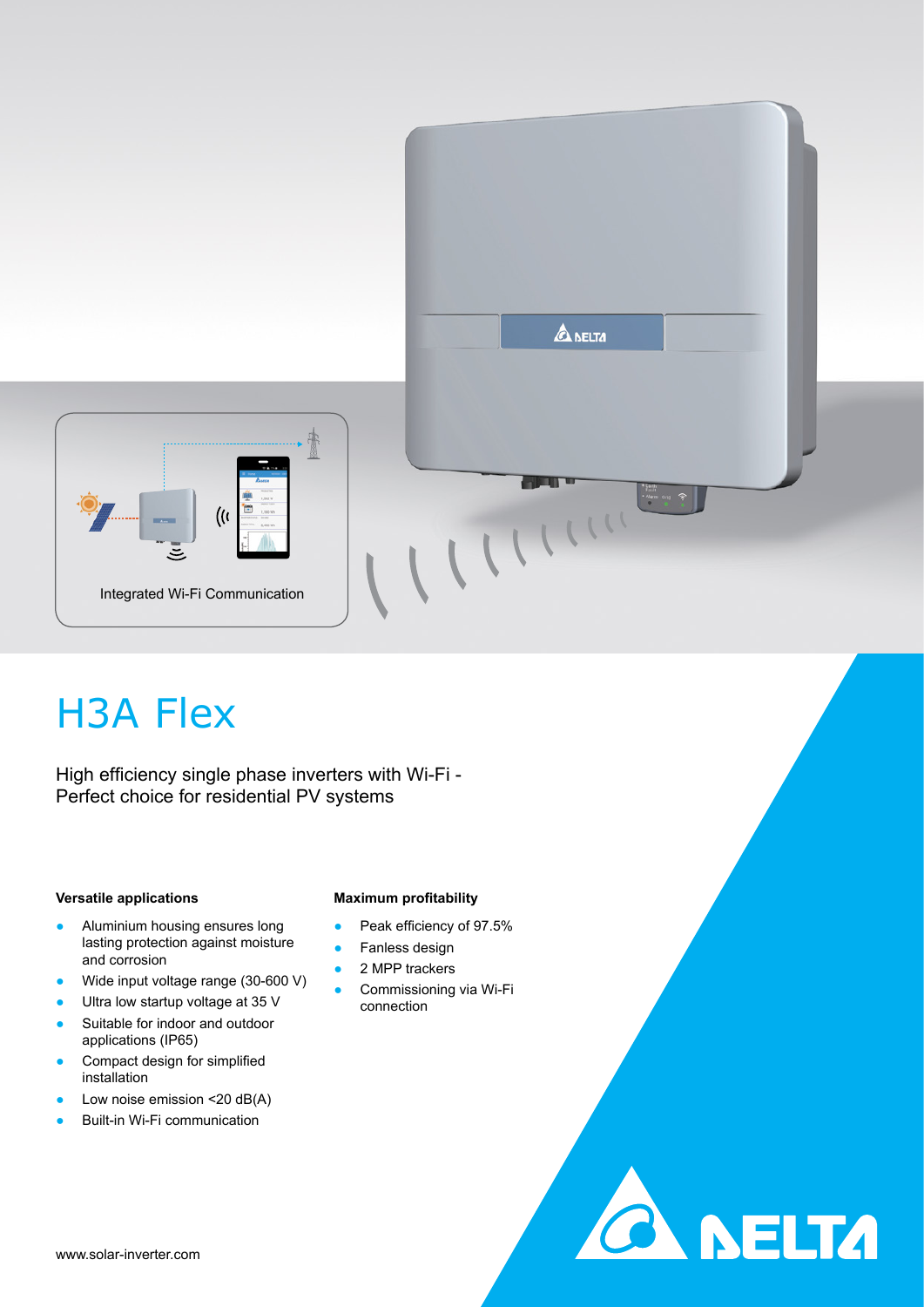



**CA NELTA** 

# H3A Flex

High efficiency single phase inverters with Wi-Fi - Perfect choice for residential PV systems

## **Versatile applications**

- Aluminium housing ensures long lasting protection against moisture and corrosion
- Wide input voltage range (30-600 V)
- Ultra low startup voltage at 35 V
- Suitable for indoor and outdoor applications (IP65)
- Compact design for simplified installation
- Low noise emission  $<$  20 dB(A)
- **Built-in Wi-Fi communication**

## **Maximum profitability**

- Peak efficiency of 97.5%
- Fanless design
- 2 MPP trackers
- **•** Commissioning via Wi-Fi connection